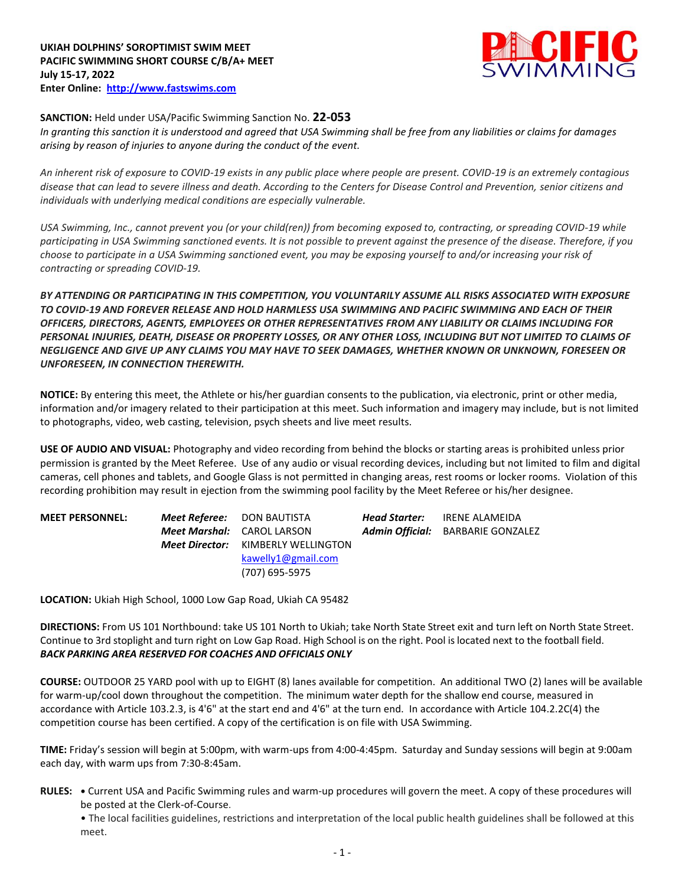

## **SANCTION:** Held under USA/Pacific Swimming Sanction No. **22-053**

*In granting this sanction it is understood and agreed that USA Swimming shall be free from any liabilities or claims for damages arising by reason of injuries to anyone during the conduct of the event.* 

*An inherent risk of exposure to COVID-19 exists in any public place where people are present. COVID-19 is an extremely contagious disease that can lead to severe illness and death. According to the Centers for Disease Control and Prevention, senior citizens and individuals with underlying medical conditions are especially vulnerable.*

*USA Swimming, Inc., cannot prevent you (or your child(ren)) from becoming exposed to, contracting, or spreading COVID-19 while participating in USA Swimming sanctioned events. It is not possible to prevent against the presence of the disease. Therefore, if you choose to participate in a USA Swimming sanctioned event, you may be exposing yourself to and/or increasing your risk of contracting or spreading COVID-19.*

*BY ATTENDING OR PARTICIPATING IN THIS COMPETITION, YOU VOLUNTARILY ASSUME ALL RISKS ASSOCIATED WITH EXPOSURE TO COVID-19 AND FOREVER RELEASE AND HOLD HARMLESS USA SWIMMING AND PACIFIC SWIMMING AND EACH OF THEIR OFFICERS, DIRECTORS, AGENTS, EMPLOYEES OR OTHER REPRESENTATIVES FROM ANY LIABILITY OR CLAIMS INCLUDING FOR PERSONAL INJURIES, DEATH, DISEASE OR PROPERTY LOSSES, OR ANY OTHER LOSS, INCLUDING BUT NOT LIMITED TO CLAIMS OF NEGLIGENCE AND GIVE UP ANY CLAIMS YOU MAY HAVE TO SEEK DAMAGES, WHETHER KNOWN OR UNKNOWN, FORESEEN OR UNFORESEEN, IN CONNECTION THEREWITH.*

**NOTICE:** By entering this meet, the Athlete or his/her guardian consents to the publication, via electronic, print or other media, information and/or imagery related to their participation at this meet. Such information and imagery may include, but is not limited to photographs, video, web casting, television, psych sheets and live meet results.

**USE OF AUDIO AND VISUAL:** Photography and video recording from behind the blocks or starting areas is prohibited unless prior permission is granted by the Meet Referee. Use of any audio or visual recording devices, including but not limited to film and digital cameras, cell phones and tablets, and Google Glass is not permitted in changing areas, rest rooms or locker rooms. Violation of this recording prohibition may result in ejection from the swimming pool facility by the Meet Referee or his/her designee.

| <b>MEET PERSONNEL:</b> | <b>Meet Referee: DON BAUTISTA</b>         | <b>Head Starter:</b> IRENE ALAMEIDA |
|------------------------|-------------------------------------------|-------------------------------------|
|                        | <b>Meet Marshal:</b> CAROL LARSON         | Admin Official: BARBARIE GONZALEZ   |
|                        | <b>Meet Director:</b> KIMBERLY WELLINGTON |                                     |
|                        | kawelly1@gmail.com                        |                                     |
|                        | (707) 695-5975                            |                                     |
|                        |                                           |                                     |

**LOCATION:** Ukiah High School, 1000 Low Gap Road, Ukiah CA 95482

**DIRECTIONS:** From US 101 Northbound: take US 101 North to Ukiah; take North State Street exit and turn left on North State Street. Continue to 3rd stoplight and turn right on Low Gap Road. High School is on the right. Pool islocated next to the football field. *BACK PARKING AREA RESERVED FOR COACHES AND OFFICIALS ONLY*

**COURSE:** OUTDOOR 25 YARD pool with up to EIGHT (8) lanes available for competition. An additional TWO (2) lanes will be available for warm-up/cool down throughout the competition. The minimum water depth for the shallow end course, measured in accordance with Article 103.2.3, is 4'6" at the start end and 4'6" at the turn end. In accordance with Article 104.2.2C(4) the competition course has been certified. A copy of the certification is on file with USA Swimming.

**TIME:** Friday's session will begin at 5:00pm, with warm-ups from 4:00-4:45pm. Saturday and Sunday sessions will begin at 9:00am each day, with warm ups from 7:30-8:45am.

**RULES: •** Current USA and Pacific Swimming rules and warm-up procedures will govern the meet. A copy of these procedures will be posted at the Clerk-of-Course.

• The local facilities guidelines, restrictions and interpretation of the local public health guidelines shall be followed at this meet.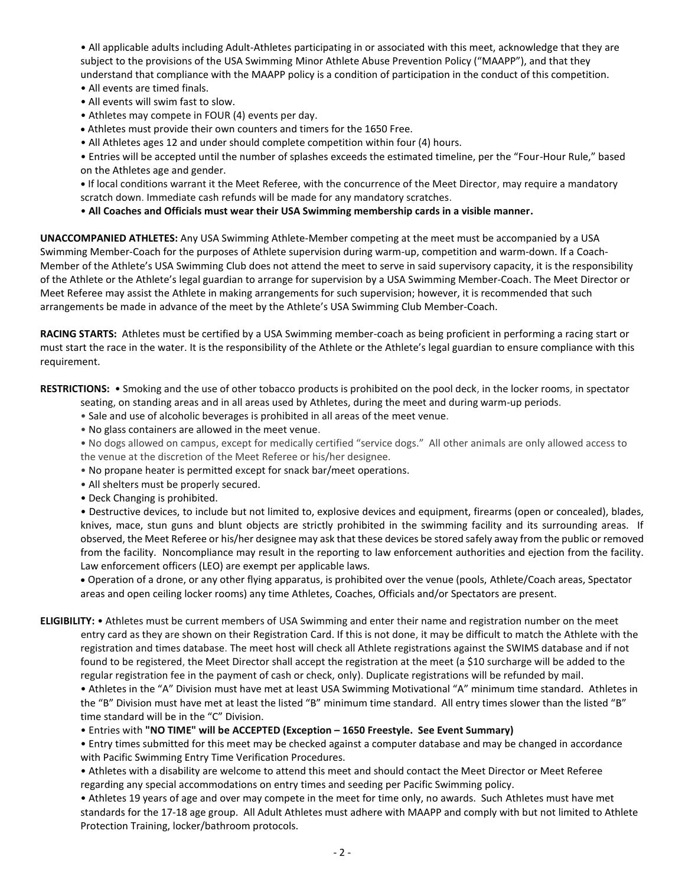• All applicable adults including Adult-Athletes participating in or associated with this meet, acknowledge that they are subject to the provisions of the USA Swimming Minor Athlete Abuse Prevention Policy ("MAAPP"), and that they understand that compliance with the MAAPP policy is a condition of participation in the conduct of this competition.

- All events are timed finals.
- All events will swim fast to slow.
- Athletes may compete in FOUR (4) events per day.
- Athletes must provide their own counters and timers for the 1650 Free.
- All Athletes ages 12 and under should complete competition within four (4) hours.

• Entries will be accepted until the number of splashes exceeds the estimated timeline, per the "Four-Hour Rule," based on the Athletes age and gender.

**•** If local conditions warrant it the Meet Referee, with the concurrence of the Meet Director, may require a mandatory scratch down. Immediate cash refunds will be made for any mandatory scratches.

• **All Coaches and Officials must wear their USA Swimming membership cards in a visible manner.** 

**UNACCOMPANIED ATHLETES:** Any USA Swimming Athlete-Member competing at the meet must be accompanied by a USA Swimming Member-Coach for the purposes of Athlete supervision during warm-up, competition and warm-down. If a Coach-Member of the Athlete's USA Swimming Club does not attend the meet to serve in said supervisory capacity, it is the responsibility of the Athlete or the Athlete's legal guardian to arrange for supervision by a USA Swimming Member-Coach. The Meet Director or Meet Referee may assist the Athlete in making arrangements for such supervision; however, it is recommended that such arrangements be made in advance of the meet by the Athlete's USA Swimming Club Member-Coach.

**RACING STARTS:** Athletes must be certified by a USA Swimming member-coach as being proficient in performing a racing start or must start the race in the water. It is the responsibility of the Athlete or the Athlete's legal guardian to ensure compliance with this requirement.

**RESTRICTIONS:** • Smoking and the use of other tobacco products is prohibited on the pool deck, in the locker rooms, in spectator

- seating, on standing areas and in all areas used by Athletes, during the meet and during warm-up periods.
- Sale and use of alcoholic beverages is prohibited in all areas of the meet venue.
- No glass containers are allowed in the meet venue.

• No dogs allowed on campus, except for medically certified "service dogs." All other animals are only allowed access to the venue at the discretion of the Meet Referee or his/her designee.

- No propane heater is permitted except for snack bar/meet operations.
- All shelters must be properly secured.
- Deck Changing is prohibited.

• Destructive devices, to include but not limited to, explosive devices and equipment, firearms (open or concealed), blades, knives, mace, stun guns and blunt objects are strictly prohibited in the swimming facility and its surrounding areas. If observed, the Meet Referee or his/her designee may ask that these devices be stored safely away from the public or removed from the facility. Noncompliance may result in the reporting to law enforcement authorities and ejection from the facility. Law enforcement officers (LEO) are exempt per applicable laws.

 Operation of a drone, or any other flying apparatus, is prohibited over the venue (pools, Athlete/Coach areas, Spectator areas and open ceiling locker rooms) any time Athletes, Coaches, Officials and/or Spectators are present.

**ELIGIBILITY:** • Athletes must be current members of USA Swimming and enter their name and registration number on the meet entry card as they are shown on their Registration Card. If this is not done, it may be difficult to match the Athlete with the registration and times database. The meet host will check all Athlete registrations against the SWIMS database and if not found to be registered, the Meet Director shall accept the registration at the meet (a \$10 surcharge will be added to the regular registration fee in the payment of cash or check, only). Duplicate registrations will be refunded by mail.

• Athletes in the "A" Division must have met at least USA Swimming Motivational "A" minimum time standard. Athletes in the "B" Division must have met at least the listed "B" minimum time standard. All entry times slower than the listed "B" time standard will be in the "C" Division.

• Entries with **"NO TIME" will be ACCEPTED (Exception – 1650 Freestyle. See Event Summary)**

• Entry times submitted for this meet may be checked against a computer database and may be changed in accordance with Pacific Swimming Entry Time Verification Procedures.

• Athletes with a disability are welcome to attend this meet and should contact the Meet Director or Meet Referee regarding any special accommodations on entry times and seeding per Pacific Swimming policy.

• Athletes 19 years of age and over may compete in the meet for time only, no awards. Such Athletes must have met standards for the 17-18 age group. All Adult Athletes must adhere with MAAPP and comply with but not limited to Athlete Protection Training, locker/bathroom protocols.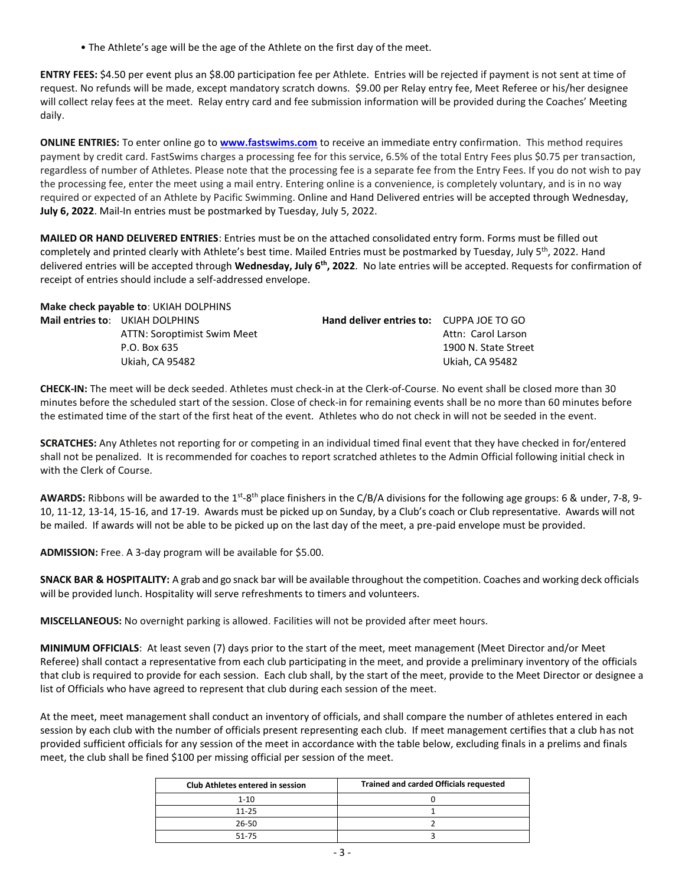• The Athlete's age will be the age of the Athlete on the first day of the meet.

**ENTRY FEES:** \$4.50 per event plus an \$8.00 participation fee per Athlete. Entries will be rejected if payment is not sent at time of request. No refunds will be made, except mandatory scratch downs. \$9.00 per Relay entry fee, Meet Referee or his/her designee will collect relay fees at the meet. Relay entry card and fee submission information will be provided during the Coaches' Meeting daily.

**ONLINE ENTRIES:** To enter online go to **[www.fastswims.com](http://www.fastswims.com/)** to receive an immediate entry confirmation. This method requires payment by credit card. FastSwims charges a processing fee for this service, 6.5% of the total Entry Fees plus \$0.75 per transaction, regardless of number of Athletes. Please note that the processing fee is a separate fee from the Entry Fees. If you do not wish to pay the processing fee, enter the meet using a mail entry. Entering online is a convenience, is completely voluntary, and is in no way required or expected of an Athlete by Pacific Swimming. Online and Hand Delivered entries will be accepted through Wednesday, **July 6, 2022**. Mail-In entries must be postmarked by Tuesday, July 5, 2022.

**MAILED OR HAND DELIVERED ENTRIES**: Entries must be on the attached consolidated entry form. Forms must be filled out completely and printed clearly with Athlete's best time. Mailed Entries must be postmarked by Tuesday, July 5<sup>th</sup>, 2022. Hand delivered entries will be accepted through **Wednesday, July 6th, 2022**. No late entries will be accepted. Requests for confirmation of receipt of entries should include a self-addressed envelope.

| Make check payable to: UKIAH DOLPHINS                                                             |                                          |                                                               |
|---------------------------------------------------------------------------------------------------|------------------------------------------|---------------------------------------------------------------|
| Mail entries to: UKIAH DOLPHINS<br>ATTN: Soroptimist Swim Meet<br>P.O. Box 635<br>Ukiah. CA 95482 | Hand deliver entries to: CUPPA JOE TO GO | Attn: Carol Larson<br>1900 N. State Street<br>Ukiah. CA 95482 |
|                                                                                                   |                                          |                                                               |

**CHECK-IN:** The meet will be deck seeded. Athletes must check-in at the Clerk-of-Course. No event shall be closed more than 30 minutes before the scheduled start of the session. Close of check-in for remaining events shall be no more than 60 minutes before the estimated time of the start of the first heat of the event. Athletes who do not check in will not be seeded in the event.

**SCRATCHES:** Any Athletes not reporting for or competing in an individual timed final event that they have checked in for/entered shall not be penalized. It is recommended for coaches to report scratched athletes to the Admin Official following initial check in with the Clerk of Course.

AWARDS: Ribbons will be awarded to the 1<sup>st</sup>-8<sup>th</sup> place finishers in the C/B/A divisions for the following age groups: 6 & under, 7-8, 9-10, 11-12, 13-14, 15-16, and 17-19. Awards must be picked up on Sunday, by a Club's coach or Club representative. Awards will not be mailed. If awards will not be able to be picked up on the last day of the meet, a pre-paid envelope must be provided.

**ADMISSION:** Free. A 3-day program will be available for \$5.00.

**SNACK BAR & HOSPITALITY:** A grab and go snack bar will be available throughout the competition. Coaches and working deck officials will be provided lunch. Hospitality will serve refreshments to timers and volunteers.

**MISCELLANEOUS:** No overnight parking is allowed. Facilities will not be provided after meet hours.

**MINIMUM OFFICIALS**: At least seven (7) days prior to the start of the meet, meet management (Meet Director and/or Meet Referee) shall contact a representative from each club participating in the meet, and provide a preliminary inventory of the officials that club is required to provide for each session. Each club shall, by the start of the meet, provide to the Meet Director or designee a list of Officials who have agreed to represent that club during each session of the meet.

At the meet, meet management shall conduct an inventory of officials, and shall compare the number of athletes entered in each session by each club with the number of officials present representing each club. If meet management certifies that a club has not provided sufficient officials for any session of the meet in accordance with the table below, excluding finals in a prelims and finals meet, the club shall be fined \$100 per missing official per session of the meet.

| <b>Club Athletes entered in session</b> | <b>Trained and carded Officials requested</b> |
|-----------------------------------------|-----------------------------------------------|
| $1 - 10$                                |                                               |
| $11 - 25$                               |                                               |
| 26-50                                   |                                               |
| 51-75                                   |                                               |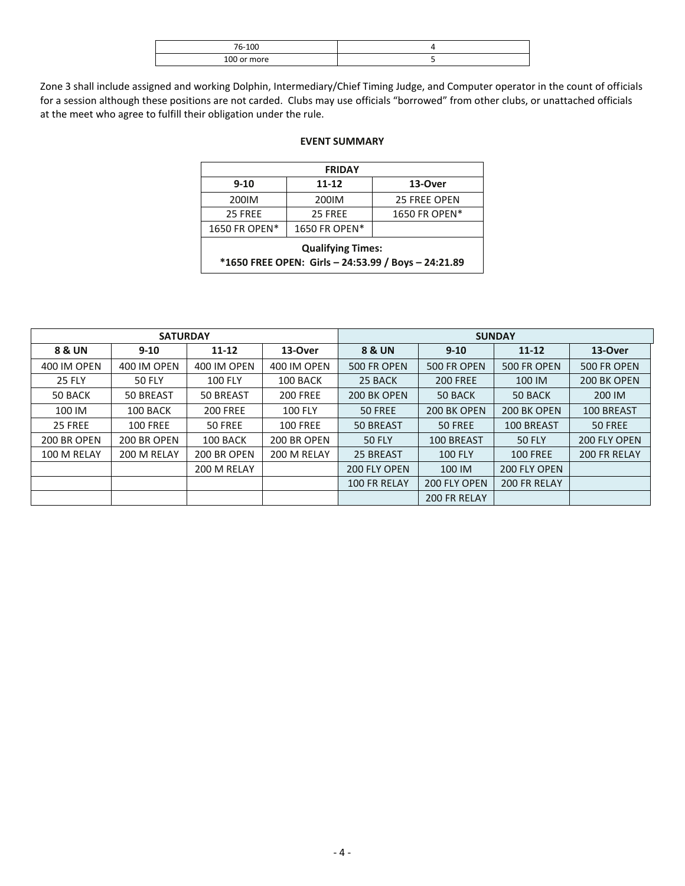| 76-100         |  |
|----------------|--|
| 100 or<br>more |  |

Zone 3 shall include assigned and working Dolphin, Intermediary/Chief Timing Judge, and Computer operator in the count of officials for a session although these positions are not carded. Clubs may use officials "borrowed" from other clubs, or unattached officials at the meet who agree to fulfill their obligation under the rule.

## **EVENT SUMMARY**

|               | <b>FRIDAY</b>            |                                                     |
|---------------|--------------------------|-----------------------------------------------------|
| $9 - 10$      | $11 - 12$                | 13-Over                                             |
| 200IM         | 200IM                    | <b>25 FREE OPEN</b>                                 |
| 25 FREE       | 25 FREE                  | 1650 FR OPEN*                                       |
| 1650 FR OPEN* | 1650 FR OPEN*            |                                                     |
|               | <b>Qualifying Times:</b> | *1650 FREE OPEN: Girls - 24:53.99 / Boys - 24:21.89 |

|               | <b>SATURDAY</b> |                 |                 |                   |                 | <b>SUNDAY</b>   |              |
|---------------|-----------------|-----------------|-----------------|-------------------|-----------------|-----------------|--------------|
| 8 & UN        | $9 - 10$        | $11 - 12$       | 13-Over         | <b>8 &amp; UN</b> | $9 - 10$        | $11 - 12$       | 13-Over      |
| 400 IM OPEN   | 400 IM OPEN     | 400 IM OPEN     | 400 IM OPEN     | 500 FR OPEN       | 500 FR OPEN     | 500 FR OPEN     | 500 FR OPEN  |
| <b>25 FLY</b> | <b>50 FLY</b>   | <b>100 FLY</b>  | 100 BACK        | 25 BACK           | <b>200 FREE</b> | 100 IM          | 200 BK OPEN  |
| 50 BACK       | 50 BREAST       | 50 BREAST       | <b>200 FREE</b> | 200 BK OPEN       | 50 BACK         | 50 BACK         | 200 IM       |
| 100 IM        | 100 BACK        | <b>200 FREE</b> | <b>100 FLY</b>  | 50 FREE           | 200 BK OPEN     | 200 BK OPEN     | 100 BREAST   |
| 25 FREE       | <b>100 FREE</b> | 50 FREE         | <b>100 FREE</b> | 50 BREAST         | 50 FREE         | 100 BREAST      | 50 FREE      |
| 200 BR OPEN   | 200 BR OPEN     | 100 BACK        | 200 BR OPEN     | <b>50 FLY</b>     | 100 BREAST      | <b>50 FLY</b>   | 200 FLY OPEN |
| 100 M RELAY   | 200 M RELAY     | 200 BR OPEN     | 200 M RELAY     | 25 BREAST         | <b>100 FLY</b>  | <b>100 FREE</b> | 200 FR RELAY |
|               |                 | 200 M RELAY     |                 | 200 FLY OPEN      | 100 IM          | 200 FLY OPEN    |              |
|               |                 |                 |                 | 100 FR RELAY      | 200 FLY OPEN    | 200 FR RELAY    |              |
|               |                 |                 |                 |                   | 200 FR RELAY    |                 |              |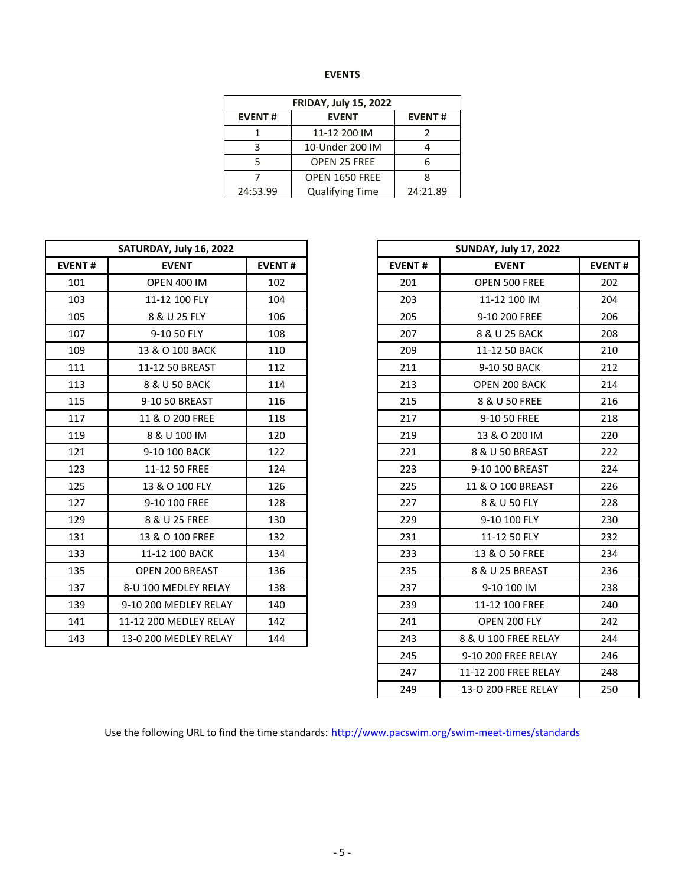| w<br>۰, |
|---------|
|         |

|               | <b>FRIDAY, July 15, 2022</b> |               |
|---------------|------------------------------|---------------|
| <b>EVENT#</b> | <b>EVENT</b>                 | <b>EVENT#</b> |
|               | 11-12 200 IM                 |               |
| 2             | 10-Under 200 IM              |               |
|               | <b>OPEN 25 FREE</b>          |               |
|               | OPEN 1650 FREE               |               |
| 24:53.99      | <b>Qualifying Time</b>       | 24:21.89      |

| SATURDAY, July 16, 2022<br><b>EVENT#</b><br><b>EVENT</b><br>101<br><b>OPEN 400 IM</b><br>102<br>103<br>11-12 100 FLY<br>104<br>105<br>8 & U 25 FLY<br>106<br>107<br>9-10 50 FLY<br>108<br>110<br>109<br>13 & O 100 BACK<br>111<br>112<br>11-12 50 BREAST | <b>EVENT#</b> |                              |
|----------------------------------------------------------------------------------------------------------------------------------------------------------------------------------------------------------------------------------------------------------|---------------|------------------------------|
| <b>EVENT#</b>                                                                                                                                                                                                                                            |               | <b>SUNDAY, July 17, 2022</b> |
|                                                                                                                                                                                                                                                          |               | <b>EVENT</b>                 |
|                                                                                                                                                                                                                                                          | 201           | OPEN 500 FREE                |
|                                                                                                                                                                                                                                                          | 203           | 11-12 100 IM                 |
|                                                                                                                                                                                                                                                          | 205           | 9-10 200 FREE                |
|                                                                                                                                                                                                                                                          | 207           | 8 & U 25 BACK                |
|                                                                                                                                                                                                                                                          | 209           | 11-12 50 BACK                |
|                                                                                                                                                                                                                                                          | 211           | 9-10 50 BACK                 |
| 113<br>8 & U 50 BACK<br>114                                                                                                                                                                                                                              | 213           | OPEN 200 BACK                |
| 115<br>9-10 50 BREAST<br>116                                                                                                                                                                                                                             | 215           | 8 & U 50 FREE                |
| 117<br>11 & O 200 FREE<br>118                                                                                                                                                                                                                            | 217           | 9-10 50 FREE                 |
| 119<br>8 & U 100 IM<br>120                                                                                                                                                                                                                               | 219           | 13 & O 200 IM                |
| 121<br>9-10 100 BACK<br>122                                                                                                                                                                                                                              | 221           | 8 & U 50 BREAST              |
| 123<br>11-12 50 FREE<br>124                                                                                                                                                                                                                              | 223           | 9-10 100 BREAST              |
| 125<br>13 & O 100 FLY<br>126                                                                                                                                                                                                                             | 225           | 11 & O 100 BREAST            |
| 127<br>128<br>9-10 100 FREE                                                                                                                                                                                                                              | 227           | 8 & U 50 FLY                 |
| 129<br>130<br>8 & U 25 FREE                                                                                                                                                                                                                              | 229           | 9-10 100 FLY                 |
| 131<br>132<br>13 & O 100 FREE                                                                                                                                                                                                                            | 231           | 11-12 50 FLY                 |
| 133<br>11-12 100 BACK<br>134                                                                                                                                                                                                                             | 233           | 13 & O 50 FREE               |
| 135<br>OPEN 200 BREAST<br>136                                                                                                                                                                                                                            | 235           | 8 & U 25 BREAST              |
| 8-U 100 MEDLEY RELAY<br>137<br>138                                                                                                                                                                                                                       | 237           | 9-10 100 IM                  |
| 139<br>140<br>9-10 200 MEDLEY RELAY                                                                                                                                                                                                                      | 239           | 11-12 100 FREE               |
| 141<br>11-12 200 MEDLEY RELAY<br>142                                                                                                                                                                                                                     | 241           | OPEN 200 FLY                 |
| 143<br>144<br>13-0 200 MEDLEY RELAY                                                                                                                                                                                                                      | 243           | 8 & U 100 FREE RELAY         |

|               | SATURDAY, July 16, 2022 |               |
|---------------|-------------------------|---------------|
| <b>EVENT#</b> | <b>EVENT</b>            | <b>EVENT#</b> |
| 101           | <b>OPEN 400 IM</b>      | 102           |
| 103           | 11-12 100 FLY           | 104           |
| 105           | 8 & U 25 FLY            | 106           |
| 107           | 9-10 50 FLY             | 108           |
| 109           | 13 & O 100 BACK         | 110           |
| 111           | 11-12 50 BREAST         | 112           |
| 113           | 8 & U 50 BACK           | 114           |
| 115           | 9-10 50 BREAST          | 116           |
| 117           | 11 & O 200 FREE         | 118           |
| 119           | 8 & U 100 IM            | 120           |
| 121           | 9-10 100 BACK           | 122           |
| 123           | 11-12 50 FREE           | 124           |
| 125           | 13 & O 100 FLY          | 126           |
| 127           | 9-10 100 FREE           | 128           |
| 129           | 8 & U 25 FREE           | 130           |
| 131           | 13 & O 100 FREE         | 132           |
| 133           | 11-12 100 BACK          | 134           |
| 135           | OPEN 200 BREAST         | 136           |
| 137           | 8-U 100 MEDLEY RELAY    | 138           |
| 139           | 9-10 200 MEDLEY RELAY   | 140           |
| 141           | 11-12 200 MEDLEY RELAY  | 142           |
| 143           | 13-0 200 MEDLEY RELAY   | 144           |
|               |                         |               |
|               |                         |               |
|               |                         |               |

Use the following URL to find the time standards: <http://www.pacswim.org/swim-meet-times/standards>